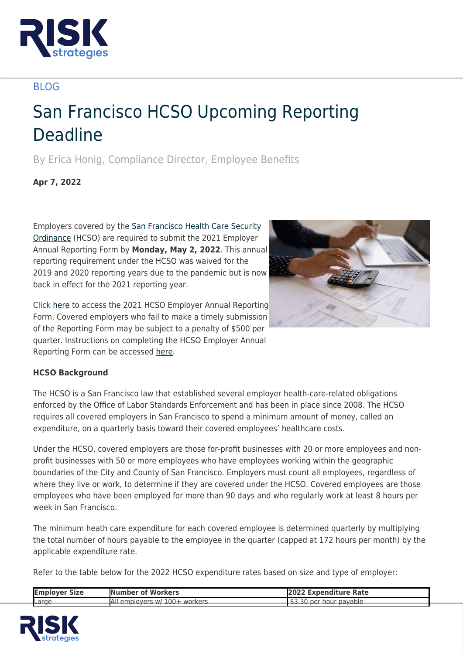

## BLOG

# San Francisco HCSO Upcoming Reporting Deadline

By Erica Honig, Compliance Director, Employee Benefits

**Apr 7, 2022**

Employers covered by the [San Francisco Health Care Security](https://sfgov.org/olse/health-care-security-ordinance-hcso#Top) [Ordinance](https://sfgov.org/olse/health-care-security-ordinance-hcso#Top) (HCSO) are required to submit the 2021 Employer Annual Reporting Form by **Monday, May 2, 2022**. This annual reporting requirement under the HCSO was waived for the 2019 and 2020 reporting years due to the pandemic but is now back in effect for the 2021 reporting year.



Click [here](https://etaxstatement.sfgov.org/olse/) to access the 2021 HCSO Employer Annual Reporting Form. Covered employers who fail to make a timely submission of the Reporting Form may be subject to a penalty of \$500 per quarter. Instructions on completing the HCSO Employer Annual Reporting Form can be accessed [here](https://sfgov.org/olse/sites/default/files/Document/HCSO%20Files/2021%20ARF%20Instructions_0.pdf).

### **HCSO Background**

The HCSO is a San Francisco law that established several employer health-care-related obligations enforced by the Office of Labor Standards Enforcement and has been in place since 2008. The HCSO requires all covered employers in San Francisco to spend a minimum amount of money, called an expenditure, on a quarterly basis toward their covered employees' healthcare costs.

Under the HCSO, covered employers are those for-profit businesses with 20 or more employees and nonprofit businesses with 50 or more employees who have employees working within the geographic boundaries of the City and County of San Francisco. Employers must count all employees, regardless of where they live or work, to determine if they are covered under the HCSO. Covered employees are those employees who have been employed for more than 90 days and who regularly work at least 8 hours per week in San Francisco.

The minimum heath care expenditure for each covered employee is determined quarterly by multiplying the total number of hours payable to the employee in the quarter (capped at 172 hours per month) by the applicable expenditure rate.

Refer to the table below for the 2022 HCSO expenditure rates based on size and type of employer:

| Emplover Size | <b>Number of Workers</b>                 | <b>2022 Expenditure Rate</b> |
|---------------|------------------------------------------|------------------------------|
| Large         | emplovers w/ 100+ workers<br><b>A</b> lı | \$3.30<br>per hour payable   |

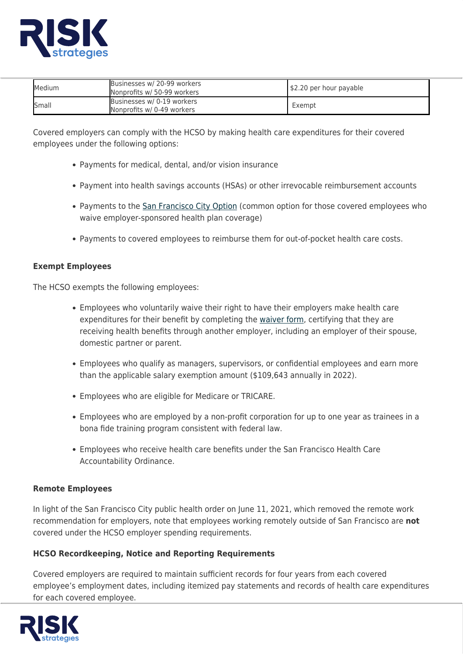

| Medium       | Businesses w/ 20-99 workers<br>Nonprofits w/ 50-99 workers | \$2.20 per hour payable |
|--------------|------------------------------------------------------------|-------------------------|
| <b>Small</b> | Businesses w/ 0-19 workers<br>Nonprofits w/ 0-49 workers   | Exempt                  |

Covered employers can comply with the HCSO by making health care expenditures for their covered employees under the following options:

- Payments for medical, dental, and/or vision insurance
- Payment into health savings accounts (HSAs) or other irrevocable reimbursement accounts
- Payments to the [San Francisco City Option](https://sfcityoption.org/) (common option for those covered employees who waive employer-sponsored health plan coverage)
- Payments to covered employees to reimburse them for out-of-pocket health care costs.

#### **Exempt Employees**

The HCSO exempts the following employees:

- Employees who voluntarily waive their right to have their employers make health care expenditures for their benefit by completing the [waiver form,](https://sfgov.org/olse/sites/default/files/Document/HCSO%20Files/Employee%20Voluntary%20Waiver%20Form%20-%202018%20update%20Final.pdf) certifying that they are receiving health benefits through another employer, including an employer of their spouse, domestic partner or parent.
- Employees who qualify as managers, supervisors, or confidential employees and earn more than the applicable salary exemption amount (\$109,643 annually in 2022).
- Employees who are eligible for Medicare or TRICARE.
- Employees who are employed by a non-profit corporation for up to one year as trainees in a bona fide training program consistent with federal law.
- Employees who receive health care benefits under the San Francisco Health Care Accountability Ordinance.

#### **Remote Employees**

In light of the San Francisco City public health order on June 11, 2021, which removed the remote work recommendation for employers, note that employees working remotely outside of San Francisco are **not** covered under the HCSO employer spending requirements.

#### **HCSO Recordkeeping, Notice and Reporting Requirements**

Covered employers are required to maintain sufficient records for four years from each covered employee's employment dates, including itemized pay statements and records of health care expenditures for each covered employee.